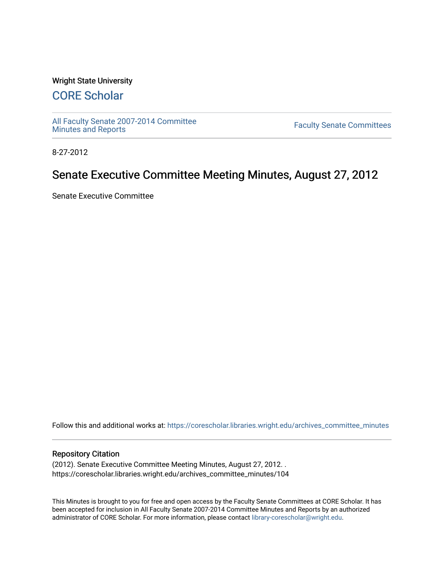#### Wright State University

# [CORE Scholar](https://corescholar.libraries.wright.edu/)

[All Faculty Senate 2007-2014 Committee](https://corescholar.libraries.wright.edu/archives_committee_minutes)

**Faculty Senate Committees** 

8-27-2012

# Senate Executive Committee Meeting Minutes, August 27, 2012

Senate Executive Committee

Follow this and additional works at: [https://corescholar.libraries.wright.edu/archives\\_committee\\_minutes](https://corescholar.libraries.wright.edu/archives_committee_minutes?utm_source=corescholar.libraries.wright.edu%2Farchives_committee_minutes%2F104&utm_medium=PDF&utm_campaign=PDFCoverPages) 

#### Repository Citation

(2012). Senate Executive Committee Meeting Minutes, August 27, 2012. . https://corescholar.libraries.wright.edu/archives\_committee\_minutes/104

This Minutes is brought to you for free and open access by the Faculty Senate Committees at CORE Scholar. It has been accepted for inclusion in All Faculty Senate 2007-2014 Committee Minutes and Reports by an authorized administrator of CORE Scholar. For more information, please contact [library-corescholar@wright.edu.](mailto:library-corescholar@wright.edu)